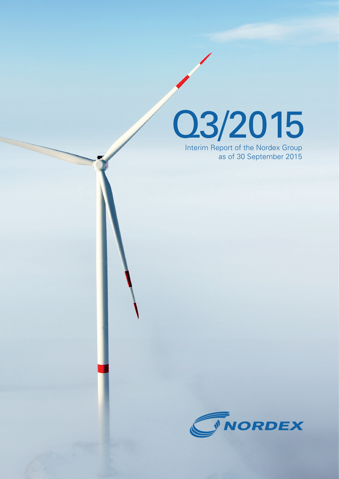

Interim Report of the Nordex Group as of 30 September 2015

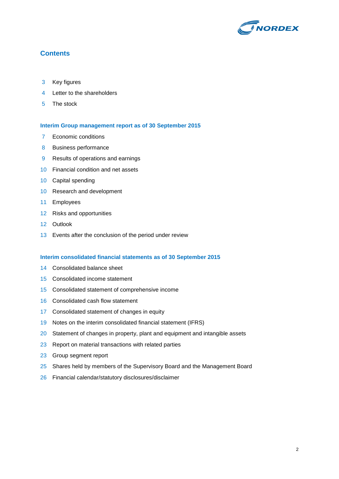

## **Contents**

- Key figures
- Letter to the shareholders
- The stock

## **Interim Group management report as of 30 September 2015**

- Economic conditions
- Business performance
- Results of operations and earnings
- Financial condition and net assets
- Capital spending
- Research and development
- Employees
- Risks and opportunities
- Outlook
- Events after the conclusion of the period under review

## **Interim consolidated financial statements as of 30 September 2015**

- Consolidated balance sheet
- Consolidated income statement
- Consolidated statement of comprehensive income
- Consolidated cash flow statement
- Consolidated statement of changes in equity
- Notes on the interim consolidated financial statement (IFRS)
- 20 Statement of changes in property, plant and equipment and intangible assets
- 23 Report on material transactions with related parties
- Group segment report
- 25 Shares held by members of the Supervisory Board and the Management Board
- Financial calendar/statutory disclosures/disclaimer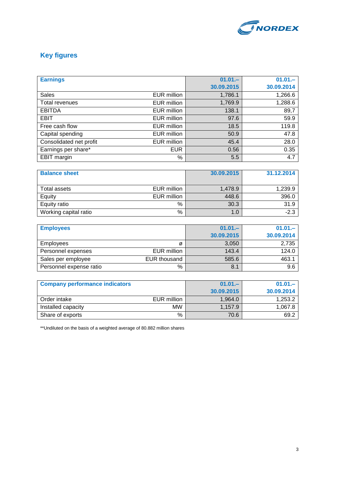

## **Key figures**

| <b>Earnings</b>         |             | $01.01 -$  | $01.01 -$  |
|-------------------------|-------------|------------|------------|
|                         |             | 30.09.2015 | 30.09.2014 |
| <b>Sales</b>            | EUR million | 1,786.1    | 1,266.6    |
| Total revenues          | EUR million | 1,769.9    | 1,288.6    |
| <b>EBITDA</b>           | EUR million | 138.1      | 89,7       |
| <b>EBIT</b>             | EUR million | 97.6       | 59.9       |
| Free cash flow          | EUR million | 18.5       | 119.8      |
| Capital spending        | EUR million | 50.9       | 47.8       |
| Consolidated net profit | EUR million | 45.4       | 28.0       |
| Earnings per share*     | <b>EUR</b>  | 0.56       | 0.35       |
| EBIT margin             | %           | 5.5        | 4.7        |

| <b>Balance sheet</b>        | 30.09.2015 | 31.12.2014 |
|-----------------------------|------------|------------|
|                             |            |            |
| EUR million<br>Total assets | 1.478.9    | 1,239.9    |
| Equity<br>EUR million       | 448.6      | 396.0      |
| %<br>Equity ratio           | 30.3       | 31.9       |
| %<br>Working capital ratio  | 1.0        | $-2.3$     |

| <b>Employees</b>        |              | $01.01 -$  | $01.01 -$  |
|-------------------------|--------------|------------|------------|
|                         |              | 30.09.2015 | 30.09.2014 |
| <b>Employees</b>        | Ø            | 3,050      | 2,735      |
| Personnel expenses      | EUR million  | 143.4      | 124.0      |
| Sales per employee      | EUR thousand | 585.6      | 463.1      |
| Personnel expense ratio | %            | 8.1        | 9.6        |

| <b>Company performance indicators</b> |             | $01.01 -$  | $01.01 -$  |
|---------------------------------------|-------------|------------|------------|
|                                       |             | 30.09.2015 | 30.09.2014 |
| Order intake                          | EUR million | 1.964.0    | 1,253.2    |
| Installed capacity                    | <b>MW</b>   | 1.157.9    | 1.067.8    |
| Share of exports                      | %           | 70.6       | 69.2       |

\*\*Undiluted on the basis of a weighted average of 80.882 million shares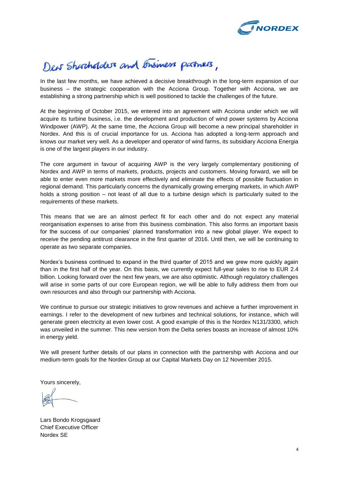

# Dew Shortholders and Brisiness partners,

In the last few months, we have achieved a decisive breakthrough in the long-term expansion of our business – the strategic cooperation with the Acciona Group. Together with Acciona, we are establishing a strong partnership which is well positioned to tackle the challenges of the future.

At the beginning of October 2015, we entered into an agreement with Acciona under which we will acquire its turbine business, i.e. the development and production of wind power systems by Acciona Windpower (AWP). At the same time, the Acciona Group will become a new principal shareholder in Nordex. And this is of crucial importance for us. Acciona has adopted a long-term approach and knows our market very well. As a developer and operator of wind farms, its subsidiary Acciona Energia is one of the largest players in our industry.

The core argument in favour of acquiring AWP is the very largely complementary positioning of Nordex and AWP in terms of markets, products, projects and customers. Moving forward, we will be able to enter even more markets more effectively and eliminate the effects of possible fluctuation in regional demand. This particularly concerns the dynamically growing emerging markets, in which AWP holds a strong position – not least of all due to a turbine design which is particularly suited to the requirements of these markets.

This means that we are an almost perfect fit for each other and do not expect any material reorganisation expenses to arise from this business combination. This also forms an important basis for the success of our companies' planned transformation into a new global player. We expect to receive the pending antitrust clearance in the first quarter of 2016. Until then, we will be continuing to operate as two separate companies.

Nordex's business continued to expand in the third quarter of 2015 and we grew more quickly again than in the first half of the year. On this basis, we currently expect full-year sales to rise to EUR 2.4 billion. Looking forward over the next few years, we are also optimistic. Although regulatory challenges will arise in some parts of our core European region, we will be able to fully address them from our own resources and also through our partnership with Acciona.

We continue to pursue our strategic initiatives to grow revenues and achieve a further improvement in earnings. I refer to the development of new turbines and technical solutions, for instance, which will generate green electricity at even lower cost. A good example of this is the Nordex N131/3300, which was unveiled in the summer. This new version from the Delta series boasts an increase of almost 10% in energy yield.

We will present further details of our plans in connection with the partnership with Acciona and our medium-term goals for the Nordex Group at our Capital Markets Day on 12 November 2015.

Yours sincerely,

Lars Bondo Krogsgaard Chief Executive Officer Nordex SE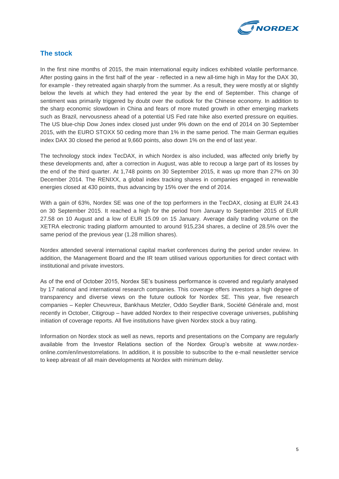

## **The stock**

In the first nine months of 2015, the main international equity indices exhibited volatile performance. After posting gains in the first half of the year - reflected in a new all-time high in May for the DAX 30, for example - they retreated again sharply from the summer. As a result, they were mostly at or slightly below the levels at which they had entered the year by the end of September. This change of sentiment was primarily triggered by doubt over the outlook for the Chinese economy. In addition to the sharp economic slowdown in China and fears of more muted growth in other emerging markets such as Brazil, nervousness ahead of a potential US Fed rate hike also exerted pressure on equities. The US blue-chip Dow Jones index closed just under 9% down on the end of 2014 on 30 September 2015, with the EURO STOXX 50 ceding more than 1% in the same period. The main German equities index DAX 30 closed the period at 9,660 points, also down 1% on the end of last year.

The technology stock index TecDAX, in which Nordex is also included, was affected only briefly by these developments and, after a correction in August, was able to recoup a large part of its losses by the end of the third quarter. At 1,748 points on 30 September 2015, it was up more than 27% on 30 December 2014. The RENIXX, a global index tracking shares in companies engaged in renewable energies closed at 430 points, thus advancing by 15% over the end of 2014.

With a gain of 63%, Nordex SE was one of the top performers in the TecDAX, closing at EUR 24.43 on 30 September 2015. It reached a high for the period from January to September 2015 of EUR 27.58 on 10 August and a low of EUR 15.09 on 15 January. Average daily trading volume on the XETRA electronic trading platform amounted to around 915,234 shares, a decline of 28.5% over the same period of the previous year (1.28 million shares).

Nordex attended several international capital market conferences during the period under review. In addition, the Management Board and the IR team utilised various opportunities for direct contact with institutional and private investors.

As of the end of October 2015, Nordex SE's business performance is covered and regularly analysed by 17 national and international research companies. This coverage offers investors a high degree of transparency and diverse views on the future outlook for Nordex SE. This year, five research companies – Kepler Cheuvreux, Bankhaus Metzler, Oddo Seydler Bank, Société Générale and, most recently in October, Citigroup – have added Nordex to their respective coverage universes, publishing initiation of coverage reports. All five institutions have given Nordex stock a buy rating.

Information on Nordex stock as well as news, reports and presentations on the Company are regularly available from the Investor Relations section of the Nordex Group's website at www.nordexonline.com/en/investorrelations. In addition, it is possible to subscribe to the e-mail newsletter service to keep abreast of all main developments at Nordex with minimum delay.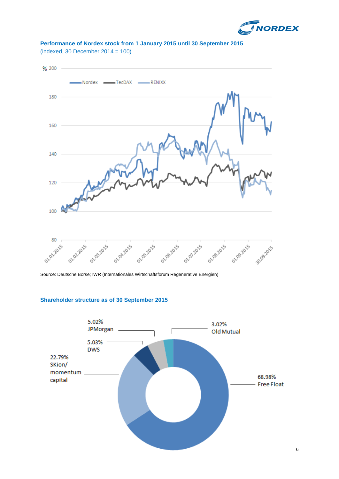



## **Performance of Nordex stock from 1 January 2015 until 30 September 2015** (indexed, 30 December 2014 = 100)

Source: Deutsche Börse; IWR (Internationales Wirtschaftsforum Regenerative Energien)

## **Shareholder structure as of 30 September 2015**

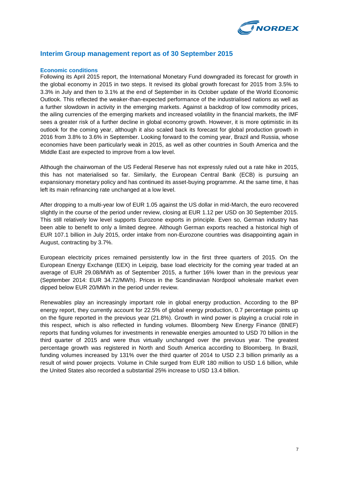

## **Interim Group management report as of 30 September 2015**

## **Economic conditions**

Following its April 2015 report, the International Monetary Fund downgraded its forecast for growth in the global economy in 2015 in two steps. It revised its global growth forecast for 2015 from 3.5% to 3.3% in July and then to 3.1% at the end of September in its October update of the World Economic Outlook. This reflected the weaker-than-expected performance of the industrialised nations as well as a further slowdown in activity in the emerging markets. Against a backdrop of low commodity prices, the ailing currencies of the emerging markets and increased volatility in the financial markets, the IMF sees a greater risk of a further decline in global economy growth. However, it is more optimistic in its outlook for the coming year, although it also scaled back its forecast for global production growth in 2016 from 3.8% to 3.6% in September. Looking forward to the coming year, Brazil and Russia, whose economies have been particularly weak in 2015, as well as other countries in South America and the Middle East are expected to improve from a low level.

Although the chairwoman of the US Federal Reserve has not expressly ruled out a rate hike in 2015, this has not materialised so far. Similarly, the European Central Bank (ECB) is pursuing an expansionary monetary policy and has continued its asset-buying programme. At the same time, it has left its main refinancing rate unchanged at a low level.

After dropping to a multi-year low of EUR 1.05 against the US dollar in mid-March, the euro recovered slightly in the course of the period under review, closing at EUR 1.12 per USD on 30 September 2015. This still relatively low level supports Eurozone exports in principle. Even so, German industry has been able to benefit to only a limited degree. Although German exports reached a historical high of EUR 107.1 billion in July 2015, order intake from non-Eurozone countries was disappointing again in August, contracting by 3.7%.

European electricity prices remained persistently low in the first three quarters of 2015. On the European Energy Exchange (EEX) in Leipzig, base load electricity for the coming year traded at an average of EUR 29.08/MWh as of September 2015, a further 16% lower than in the previous year (September 2014: EUR 34.72/MWh). Prices in the Scandinavian Nordpool wholesale market even dipped below EUR 20/MWh in the period under review.

Renewables play an increasingly important role in global energy production. According to the BP energy report, they currently account for 22.5% of global energy production, 0.7 percentage points up on the figure reported in the previous year (21.8%). Growth in wind power is playing a crucial role in this respect, which is also reflected in funding volumes. Bloomberg New Energy Finance (BNEF) reports that funding volumes for investments in renewable energies amounted to USD 70 billion in the third quarter of 2015 and were thus virtually unchanged over the previous year. The greatest percentage growth was registered in North and South America according to Bloomberg. In Brazil, funding volumes increased by 131% over the third quarter of 2014 to USD 2.3 billion primarily as a result of wind power projects. Volume in Chile surged from EUR 180 million to USD 1.6 billion, while the United States also recorded a substantial 25% increase to USD 13.4 billion.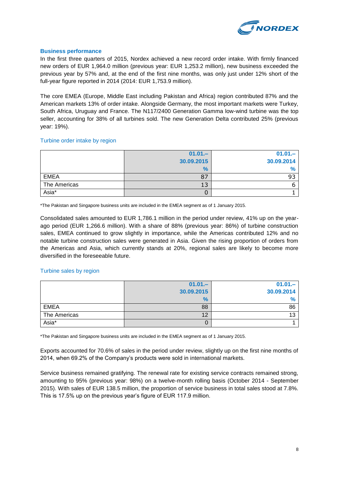

## **Business performance**

In the first three quarters of 2015, Nordex achieved a new record order intake. With firmly financed new orders of EUR 1,964.0 million (previous year: EUR 1,253.2 million), new business exceeded the previous year by 57% and, at the end of the first nine months, was only just under 12% short of the full-year figure reported in 2014 (2014: EUR 1,753.9 million).

The core EMEA (Europe, Middle East including Pakistan and Africa) region contributed 87% and the American markets 13% of order intake. Alongside Germany, the most important markets were Turkey, South Africa, Uruguay and France. The N117/2400 Generation Gamma low-wind turbine was the top seller, accounting for 38% of all turbines sold. The new Generation Delta contributed 25% (previous year: 19%).

## Turbine order intake by region

|              | $01.01 -$    | $01.01 -$    |
|--------------|--------------|--------------|
|              | 30.09.2015   | 30.09.2014   |
|              | $\%$         | $\mathbf{0}$ |
| <b>EMEA</b>  | 07           | 93           |
| The Americas | $\sim$<br>ιo |              |
| Asia*        | U            |              |

\*The Pakistan and Singapore business units are included in the EMEA segment as of 1 January 2015.

Consolidated sales amounted to EUR 1,786.1 million in the period under review, 41% up on the yearago period (EUR 1,266.6 million). With a share of 88% (previous year: 86%) of turbine construction sales, EMEA continued to grow slightly in importance, while the Americas contributed 12% and no notable turbine construction sales were generated in Asia. Given the rising proportion of orders from the Americas and Asia, which currently stands at 20%, regional sales are likely to become more diversified in the foreseeable future.

## Turbine sales by region

|              | $01.01 -$  | $01.01 -$  |
|--------------|------------|------------|
|              | 30.09.2015 | 30.09.2014 |
|              | $\%$       |            |
| <b>EMEA</b>  | 88         | 86         |
| The Americas | 12         | 10<br>ЬC   |
| Asia*        | U          |            |

\*The Pakistan and Singapore business units are included in the EMEA segment as of 1 January 2015.

Exports accounted for 70.6% of sales in the period under review, slightly up on the first nine months of 2014, when 69.2% of the Company's products were sold in international markets.

Service business remained gratifying. The renewal rate for existing service contracts remained strong, amounting to 95% (previous year: 98%) on a twelve-month rolling basis (October 2014 - September 2015). With sales of EUR 138.5 million, the proportion of service business in total sales stood at 7.8%. This is 17.5% up on the previous year's figure of EUR 117.9 million.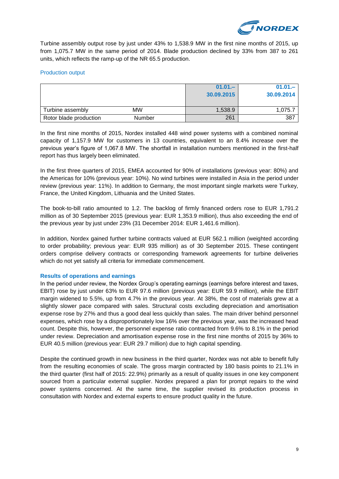

Turbine assembly output rose by just under 43% to 1,538.9 MW in the first nine months of 2015, up from 1,075.7 MW in the same period of 2014. Blade production declined by 33% from 387 to 261 units, which reflects the ramp-up of the NR 65.5 production.

## Production output

|                        |               | $01.01 -$<br>30.09.2015 | $01.01 -$<br>30.09.2014 |
|------------------------|---------------|-------------------------|-------------------------|
| Turbine assembly       | <b>MW</b>     | 1,538.9                 | 1.075.7                 |
| Rotor blade production | <b>Number</b> | 261                     | 387                     |

In the first nine months of 2015, Nordex installed 448 wind power systems with a combined nominal capacity of 1,157.9 MW for customers in 13 countries, equivalent to an 8.4% increase over the previous year's figure of 1,067.8 MW. The shortfall in installation numbers mentioned in the first-half report has thus largely been eliminated.

In the first three quarters of 2015, EMEA accounted for 90% of installations (previous year: 80%) and the Americas for 10% (previous year: 10%). No wind turbines were installed in Asia in the period under review (previous year: 11%). In addition to Germany, the most important single markets were Turkey, France, the United Kingdom, Lithuania and the United States.

The book-to-bill ratio amounted to 1.2. The backlog of firmly financed orders rose to EUR 1,791.2 million as of 30 September 2015 (previous year: EUR 1,353.9 million), thus also exceeding the end of the previous year by just under 23% (31 December 2014: EUR 1,461.6 million).

In addition, Nordex gained further turbine contracts valued at EUR 562.1 million (weighted according to order probability; previous year: EUR 935 million) as of 30 September 2015. These contingent orders comprise delivery contracts or corresponding framework agreements for turbine deliveries which do not yet satisfy all criteria for immediate commencement.

## **Results of operations and earnings**

In the period under review, the Nordex Group's operating earnings (earnings before interest and taxes, EBIT) rose by just under 63% to EUR 97.6 million (previous year: EUR 59.9 million), while the EBIT margin widened to 5.5%, up from 4.7% in the previous year. At 38%, the cost of materials grew at a slightly slower pace compared with sales. Structural costs excluding depreciation and amortisation expense rose by 27% and thus a good deal less quickly than sales. The main driver behind personnel expenses, which rose by a disproportionately low 16% over the previous year, was the increased head count. Despite this, however, the personnel expense ratio contracted from 9.6% to 8.1% in the period under review. Depreciation and amortisation expense rose in the first nine months of 2015 by 36% to EUR 40.5 million (previous year: EUR 29.7 million) due to high capital spending.

Despite the continued growth in new business in the third quarter, Nordex was not able to benefit fully from the resulting economies of scale. The gross margin contracted by 180 basis points to 21.1% in the third quarter (first half of 2015: 22.9%) primarily as a result of quality issues in one key component sourced from a particular external supplier. Nordex prepared a plan for prompt repairs to the wind power systems concerned. At the same time, the supplier revised its production process in consultation with Nordex and external experts to ensure product quality in the future.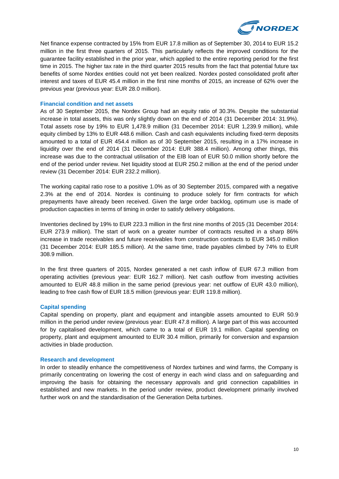

Net finance expense contracted by 15% from EUR 17.8 million as of September 30, 2014 to EUR 15.2 million in the first three quarters of 2015. This particularly reflects the improved conditions for the guarantee facility established in the prior year, which applied to the entire reporting period for the first time in 2015. The higher tax rate in the third quarter 2015 results from the fact that potential future tax benefits of some Nordex entities could not yet been realized. Nordex posted consolidated profit after interest and taxes of EUR 45.4 million in the first nine months of 2015, an increase of 62% over the previous year (previous year: EUR 28.0 million).

## **Financial condition and net assets**

As of 30 September 2015, the Nordex Group had an equity ratio of 30.3%. Despite the substantial increase in total assets, this was only slightly down on the end of 2014 (31 December 2014: 31.9%). Total assets rose by 19% to EUR 1,478.9 million (31 December 2014: EUR 1,239.9 million), while equity climbed by 13% to EUR 448.6 million. Cash and cash equivalents including fixed-term deposits amounted to a total of EUR 454.4 million as of 30 September 2015, resulting in a 17% increase in liquidity over the end of 2014 (31 December 2014: EUR 388.4 million). Among other things, this increase was due to the contractual utilisation of the EIB loan of EUR 50.0 million shortly before the end of the period under review. Net liquidity stood at EUR 250.2 million at the end of the period under review (31 December 2014: EUR 232.2 million).

The working capital ratio rose to a positive 1.0% as of 30 September 2015, compared with a negative 2.3% at the end of 2014. Nordex is continuing to produce solely for firm contracts for which prepayments have already been received. Given the large order backlog, optimum use is made of production capacities in terms of timing in order to satisfy delivery obligations.

Inventories declined by 19% to EUR 223.3 million in the first nine months of 2015 (31 December 2014: EUR 273.9 million). The start of work on a greater number of contracts resulted in a sharp 86% increase in trade receivables and future receivables from construction contracts to EUR 345.0 million (31 December 2014: EUR 185.5 million). At the same time, trade payables climbed by 74% to EUR 308.9 million.

In the first three quarters of 2015, Nordex generated a net cash inflow of EUR 67.3 million from operating activities (previous year: EUR 162.7 million). Net cash outflow from investing activities amounted to EUR 48.8 million in the same period (previous year: net outflow of EUR 43.0 million), leading to free cash flow of EUR 18.5 million (previous year: EUR 119.8 million).

## **Capital spending**

Capital spending on property, plant and equipment and intangible assets amounted to EUR 50.9 million in the period under review (previous year: EUR 47.8 million). A large part of this was accounted for by capitalised development, which came to a total of EUR 19.1 million. Capital spending on property, plant and equipment amounted to EUR 30.4 million, primarily for conversion and expansion activities in blade production.

## **Research and development**

In order to steadily enhance the competitiveness of Nordex turbines and wind farms, the Company is primarily concentrating on lowering the cost of energy in each wind class and on safeguarding and improving the basis for obtaining the necessary approvals and grid connection capabilities in established and new markets. In the period under review, product development primarily involved further work on and the standardisation of the Generation Delta turbines.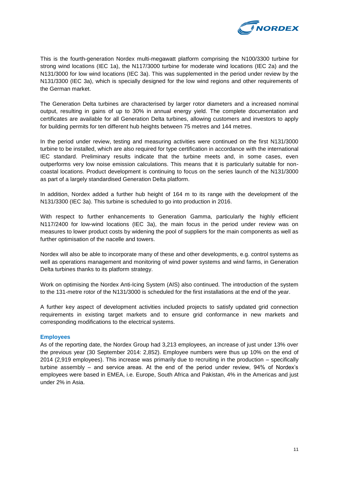

This is the fourth-generation Nordex multi-megawatt platform comprising the N100/3300 turbine for strong wind locations (IEC 1a), the N117/3000 turbine for moderate wind locations (IEC 2a) and the N131/3000 for low wind locations (IEC 3a). This was supplemented in the period under review by the N131/3300 (IEC 3a), which is specially designed for the low wind regions and other requirements of the German market.

The Generation Delta turbines are characterised by larger rotor diameters and a increased nominal output, resulting in gains of up to 30% in annual energy yield. The complete documentation and certificates are available for all Generation Delta turbines, allowing customers and investors to apply for building permits for ten different hub heights between 75 metres and 144 metres.

In the period under review, testing and measuring activities were continued on the first N131/3000 turbine to be installed, which are also required for type certification in accordance with the international IEC standard. Preliminary results indicate that the turbine meets and, in some cases, even outperforms very low noise emission calculations. This means that it is particularly suitable for noncoastal locations. Product development is continuing to focus on the series launch of the N131/3000 as part of a largely standardised Generation Delta platform.

In addition, Nordex added a further hub height of 164 m to its range with the development of the N131/3300 (IEC 3a). This turbine is scheduled to go into production in 2016.

With respect to further enhancements to Generation Gamma, particularly the highly efficient N117/2400 for low-wind locations (IEC 3a), the main focus in the period under review was on measures to lower product costs by widening the pool of suppliers for the main components as well as further optimisation of the nacelle and towers.

Nordex will also be able to incorporate many of these and other developments, e.g. control systems as well as operations management and monitoring of wind power systems and wind farms, in Generation Delta turbines thanks to its platform strategy.

Work on optimising the Nordex Anti-Icing System (AIS) also continued. The introduction of the system to the 131-metre rotor of the N131/3000 is scheduled for the first installations at the end of the year.

A further key aspect of development activities included projects to satisfy updated grid connection requirements in existing target markets and to ensure grid conformance in new markets and corresponding modifications to the electrical systems.

## **Employees**

As of the reporting date, the Nordex Group had 3,213 employees, an increase of just under 13% over the previous year (30 September 2014: 2,852). Employee numbers were thus up 10% on the end of 2014 (2,919 employees). This increase was primarily due to recruiting in the production – specifically turbine assembly – and service areas. At the end of the period under review, 94% of Nordex's employees were based in EMEA, i.e. Europe, South Africa and Pakistan, 4% in the Americas and just under 2% in Asia.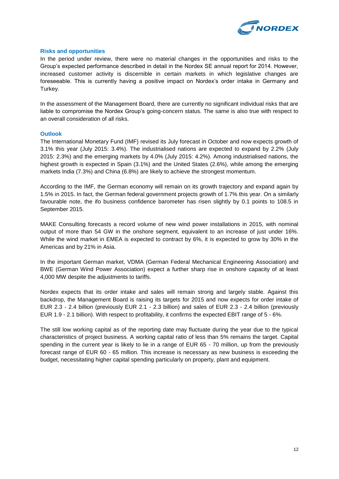

## **Risks and opportunities**

In the period under review, there were no material changes in the opportunities and risks to the Group's expected performance described in detail in the Nordex SE annual report for 2014. However, increased customer activity is discernible in certain markets in which legislative changes are foreseeable. This is currently having a positive impact on Nordex's order intake in Germany and Turkey.

In the assessment of the Management Board, there are currently no significant individual risks that are liable to compromise the Nordex Group's going-concern status. The same is also true with respect to an overall consideration of all risks.

## **Outlook**

The International Monetary Fund (IMF) revised its July forecast in October and now expects growth of 3.1% this year (July 2015: 3.4%). The industrialised nations are expected to expand by 2.2% (July 2015: 2.3%) and the emerging markets by 4.0% (July 2015: 4.2%). Among industrialised nations, the highest growth is expected in Spain (3.1%) and the United States (2.6%), while among the emerging markets India (7.3%) and China (6.8%) are likely to achieve the strongest momentum.

According to the IMF, the German economy will remain on its growth trajectory and expand again by 1.5% in 2015. In fact, the German federal government projects growth of 1.7% this year. On a similarly favourable note, the ifo business confidence barometer has risen slightly by 0.1 points to 108.5 in September 2015.

MAKE Consulting forecasts a record volume of new wind power installations in 2015, with nominal output of more than 54 GW in the onshore segment, equivalent to an increase of just under 16%. While the wind market in EMEA is expected to contract by 6%, it is expected to grow by 30% in the Americas and by 21% in Asia.

In the important German market, VDMA (German Federal Mechanical Engineering Association) and BWE (German Wind Power Association) expect a further sharp rise in onshore capacity of at least 4,000 MW despite the adjustments to tariffs.

Nordex expects that its order intake and sales will remain strong and largely stable. Against this backdrop, the Management Board is raising its targets for 2015 and now expects for order intake of EUR 2.3 - 2.4 billion (previously EUR 2.1 - 2.3 billion) and sales of EUR 2.3 - 2.4 billion (previously EUR 1.9 - 2.1 billion). With respect to profitability, it confirms the expected EBIT range of 5 - 6%.

The still low working capital as of the reporting date may fluctuate during the year due to the typical characteristics of project business. A working capital ratio of less than 5% remains the target. Capital spending in the current year is likely to lie in a range of EUR 65 - 70 million, up from the previously forecast range of EUR 60 - 65 million. This increase is necessary as new business is exceeding the budget, necessitating higher capital spending particularly on property, plant and equipment.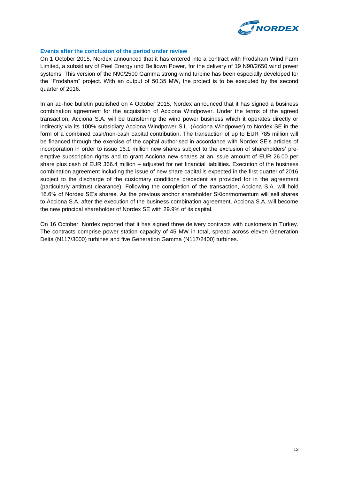

## **Events after the conclusion of the period under review**

On 1 October 2015, Nordex announced that it has entered into a contract with Frodsham Wind Farm Limited, a subsidiary of Peel Energy und Belltown Power, for the delivery of 19 N90/2650 wind power systems. This version of the N90/2500 Gamma strong-wind turbine has been especially developed for the "Frodsham" project. With an output of 50.35 MW, the project is to be executed by the second quarter of 2016.

In an ad-hoc bulletin published on 4 October 2015, Nordex announced that it has signed a business combination agreement for the acquisition of Acciona Windpower. Under the terms of the agreed transaction, Acciona S.A. will be transferring the wind power business which it operates directly or indirectly via its 100% subsidiary Acciona Windpower S.L. (Acciona Windpower) to Nordex SE in the form of a combined cash/non-cash capital contribution. The transaction of up to EUR 785 million will be financed through the exercise of the capital authorised in accordance with Nordex SE's articles of incorporation in order to issue 16.1 million new shares subject to the exclusion of shareholders' preemptive subscription rights and to grant Acciona new shares at an issue amount of EUR 26.00 per share plus cash of EUR 366.4 million – adjusted for net financial liabilities. Execution of the business combination agreement including the issue of new share capital is expected in the first quarter of 2016 subject to the discharge of the customary conditions precedent as provided for in the agreement (particularly antitrust clearance). Following the completion of the transaction, Acciona S.A. will hold 16.6% of Nordex SE's shares. As the previous anchor shareholder SKion/momentum will sell shares to Acciona S.A. after the execution of the business combination agreement, Acciona S.A. will become the new principal shareholder of Nordex SE with 29.9% of its capital.

On 16 October, Nordex reported that it has signed three delivery contracts with customers in Turkey. The contracts comprise power station capacity of 45 MW in total, spread across eleven Generation Delta (N117/3000) turbines and five Generation Gamma (N117/2400) turbines.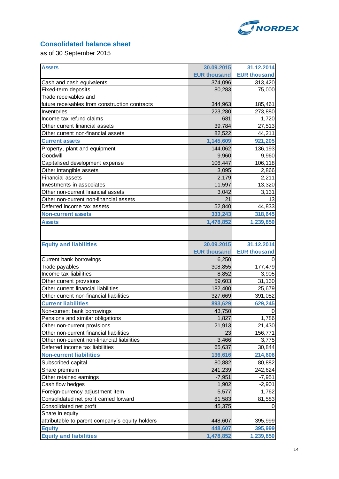

## **Consolidated balance sheet**

as of 30 September 2015

| <b>Assets</b>                                   | 30.09.2015          | 31.12.2014          |
|-------------------------------------------------|---------------------|---------------------|
|                                                 | <b>EUR thousand</b> | <b>EUR thousand</b> |
| Cash and cash equivalents                       | 374,096             | 313,420             |
| Fixed-term deposits                             | 80,283              | 75,000              |
| Trade receivables and                           |                     |                     |
| future receivables from construction contracts  | 344,963             | 185,461             |
| Inventories                                     | 223,280             | 273,880             |
| Income tax refund claims                        | 681                 | 1,720               |
| Other current financial assets                  | 39,784              | 27,513              |
| Other current non-financial assets              | 82,522              | 44,211              |
| <b>Current assets</b>                           | 1,145,609           | 921,205             |
| Property, plant and equipment                   | 144,062             | 136,193             |
| Goodwill                                        | 9,960               | 9,960               |
| Capitalised development expense                 | 106,447             | 106,118             |
| Other intangible assets                         | 3,095               | 2,866               |
| <b>Financial assets</b>                         | 2,179               | 2,211               |
| Investments in associates                       | 11,597              | 13,320              |
| Other non-current financial assets              | 3,042               | 3,131               |
| Other non-current non-financial assets          | 21                  | 13                  |
| Deferred income tax assets                      | 52,840              | 44,833              |
| <b>Non-current assets</b>                       | 333,243             | 318,645             |
| <b>Assets</b>                                   | 1,478,852           | 1,239,850           |
|                                                 |                     |                     |
| <b>Equity and liabilities</b>                   | 30.09.2015          | 31.12.2014          |
|                                                 | <b>EUR thousand</b> | <b>EUR thousand</b> |
| Current bank borrowings                         | 6,250               |                     |
| Trade payables                                  | 308,855             | 177,479             |
| Income tax liabilities                          | 8,852               | 3,905               |
| Other current provisions                        | 59,603              | 31,130              |
| Other current financial liabilities             | 182,400             | 25,679              |
| Other current non-financial liabilities         | 327,669             | 391,052             |
| <b>Current liabilities</b>                      | 893,629             | 629,245             |
| Non-current bank borrowings                     | 43,750              | 0                   |
| Pensions and similar obligations                | 1,827               | 1,786               |
| Other non-current provisions                    | 21,913              | 21,430              |
| Other non-current financial liabilities         | 23                  | 156,771             |
| Other non-current non-financial liabilities     | 3,466               | 3,775               |
| Deferred income tax liabilities                 | 65,637              | 30,844              |
| <b>Non-current liabilities</b>                  | 136,616             | 214,606             |
| Subscribed capital                              | 80,882              | 80,882              |
| Share premium                                   | 241,239             | 242,624             |
| Other retained earnings                         | $-7,951$            | $-7,951$            |
| Cash flow hedges                                | 1,902               | $-2,901$            |
| Foreign-currency adjustment item                | 5,577               | 1,762               |
| Consolidated net profit carried forward         | 81,583              | 81,583              |
| Consolidated net profit                         | 45,375              |                     |
| Share in equity                                 |                     |                     |
| attributable to parent company's equity holders | 448,607             | 395,999             |
| <b>Equity</b>                                   | 448,607             | 395,999             |
| <b>Equity and liabilities</b>                   | 1,478,852           | 1,239,850           |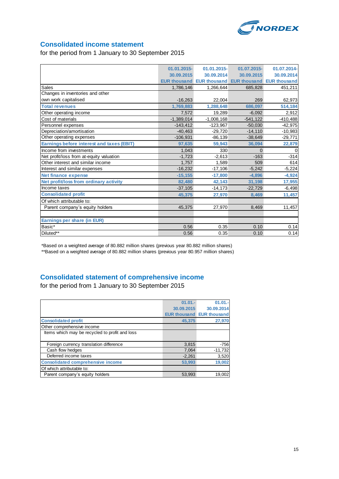

## **Consolidated income statement**

for the period from 1 January to 30 September 2015

|                                                  | 01.01.2015-  | 01.01.2015-                                         | 01.07.2015- | 01.07.2014- |
|--------------------------------------------------|--------------|-----------------------------------------------------|-------------|-------------|
|                                                  | 30.09.2015   | 30.09.2014                                          | 30.09.2015  | 30.09.2014  |
|                                                  |              | EUR thousand EUR thousand EUR thousand EUR thousand |             |             |
| <b>Sales</b>                                     | 1,786,146    | 1,266,644                                           | 685,828     | 451,211     |
| Changes in inventories and other                 |              |                                                     |             |             |
| own work capitalised                             | $-16,263$    | 22,004                                              | 269         | 62,973      |
| <b>Total revenues</b>                            | 1,769,883    | 1,288,648                                           | 686.097     | 514,184     |
| Other operating income                           | 7,572        | 19,289                                              | $-6.092$    | 2,912       |
| Cost of materials                                | $-1,389,014$ | $-1,008,168$                                        | $-541,122$  | $-410,488$  |
| Personnel expenses                               | $-143,412$   | $-123,967$                                          | $-50,030$   | $-42,975$   |
| Depreciation/amortisation                        | $-40.463$    | $-29.720$                                           | $-14,110$   | $-10,983$   |
| Other operating expenses                         | $-106,931$   | $-86,139$                                           | $-38,649$   | $-29,771$   |
| <b>Earnings before interest and taxes (EBIT)</b> | 97,635       | 59,943                                              | 36,094      | 22,879      |
| Income from investments                          | 1.043        | 330                                                 | $\Omega$    | 0           |
| Net profit/loss from at-equity valuation         | $-1,723$     | $-2,613$                                            | $-163$      | $-314$      |
| Other interest and similar income                | 1,757        | 1,589                                               | 509         | 614         |
| Interest and similar expenses                    | $-16,232$    | $-17,106$                                           | $-5,242$    | $-5,224$    |
| <b>Net finance expense</b>                       | $-15, 155$   | $-17.800$                                           | $-4.896$    | $-4,924$    |
| Net profit/loss from ordinary activity           | 82,480       | 42,143                                              | 31,198      | 17,955      |
| Income taxes                                     | $-37,105$    | $-14,173$                                           | $-22,729$   | $-6,498$    |
| <b>Consolidated profit</b>                       | 45,375       | 27,970                                              | 8,469       | 11,457      |
| Of which attributable to:                        |              |                                                     |             |             |
| Parent company's equity holders                  | 45,375       | 27,970                                              | 8,469       | 11,457      |
|                                                  |              |                                                     |             |             |
| Earnings per share (in EUR)                      |              |                                                     |             |             |
| Basic*                                           | 0.56         | 0.35                                                | 0.10        | 0.14        |
| Diluted**                                        | 0.56         | 0.35                                                | 0.10        | 0.14        |
|                                                  |              |                                                     |             |             |

\*Based on a weighted average of 80.882 million shares (previous year 80.882 million shares) \*\*Based on a weighted average of 80.882 million shares (previous year 80.957 million shares)

## **Consolidated statement of comprehensive income**

for the period from 1 January to 30 September 2015

|                                                | $01.01 -$  | $01.01 -$                        |
|------------------------------------------------|------------|----------------------------------|
|                                                | 30.09.2015 | 30.09.2014                       |
|                                                |            | <b>EUR thousand EUR thousand</b> |
| <b>Consolidated profit</b>                     | 45,375     | 27,970                           |
| Other comprehensive income                     |            |                                  |
| Items which may be recycled to profit and loss |            |                                  |
|                                                |            |                                  |
| Foreign currency translation difference        | 3,815      | $-756$                           |
| Cash flow hedges                               | 7,064      | $-11,732$                        |
| Deferred income taxes                          | $-2,261$   | 3,520                            |
| <b>Consolidated comprehensive income</b>       | 53.993     | 19,002                           |
| Of which attributable to:                      |            |                                  |
| Parent company's equity holders                | 53.993     | 19,002                           |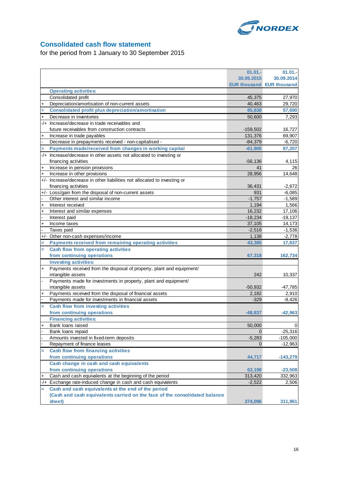

## **Consolidated cash flow statement**

for the period from 1 January to 30 September 2015

|                |                                                                            | $01.01 -$          | 01.01.                           |
|----------------|----------------------------------------------------------------------------|--------------------|----------------------------------|
|                |                                                                            | 30.09.2015         | 30.09.2014                       |
|                |                                                                            |                    | <b>EUR thousand EUR thousand</b> |
|                | <b>Operating activities:</b>                                               |                    |                                  |
|                | Consolidated profit                                                        | 45,375             | 27,970                           |
| $\ddot{}$      | Depreciation/amortisation of non-current assets                            | 40,463             | 29,720                           |
| Ξ              | <b>Consolidated profit plus depreciation/amortisation</b>                  | 85,838             | 57,690                           |
| $\ddot{}$      | Decrease in inventories                                                    | 50,600             | 7,293                            |
|                | -/+ Increase/decrease in trade receivables and                             |                    |                                  |
|                | future receivables from construction contracts                             | $-159,502$         | 16,727                           |
| $\ddot{}$      | Increase in trade payables                                                 | 131,376            | 69,907                           |
|                | Decrease in prepayments received - non-capitalised -                       | $-84,379$          | $-6.720$                         |
| Ξ              | Payments made/received from changes in working capital                     | $-61,905$          | 87,207                           |
|                | -/+ Increase/decrease in other assets not allocated to investing or        |                    |                                  |
|                | financing activities                                                       | $-56,136$          | 4,115                            |
| $\ddot{}$      | Increase in pension provisions                                             | 41                 | 26                               |
| $\ddot{}$      | Increase in other provisions                                               | 28,956             | 14,648                           |
|                | +/- Increase/decrease in other liabilities not allocated to investing or   |                    |                                  |
|                | financing activities                                                       | 36,431             | $-2,672$                         |
|                | +/- Loss/gain from the disposal of non-current assets                      | 931                | $-6,085$                         |
|                | Other interest and similar income                                          | $-1,757$           | $-1,589$                         |
| $\ddot{}$      | Interest received                                                          | 1,194              | 1,566                            |
| $\ddot{}$      | Interest and similar expenses                                              | 16,232             | 17,106                           |
| $\overline{a}$ | Interest paid                                                              | $-18,234$          | $-19,137$                        |
| $\ddot{}$      | Income taxes                                                               | 37,105             | 14,173                           |
|                | Taxes paid                                                                 | $-2,516$           | $-1,536$                         |
|                | +/- Other non-cash expenses/income                                         | 1,138              | $-2,778$                         |
| Ξ              | Payments received from remaining operating activities                      | 43,385             | 17,837                           |
| $=$            | <b>Cash flow from operating activities</b>                                 |                    |                                  |
|                | from continuing operations                                                 | 67,318             | 162,734                          |
|                | <b>Investing activities:</b>                                               |                    |                                  |
| $\ddot{}$      | Payments received from the disposal of property, plant and equipment/      |                    |                                  |
|                | intangible assets                                                          | 242                |                                  |
| $\overline{a}$ | Payments made for investments in property, plant and equipment/            |                    | 10,337                           |
|                | intangible assets                                                          |                    |                                  |
| $\ddot{}$      | Payments received from the disposal of financial assets                    | $-50,932$<br>2,182 | $-47,785$<br>2,910               |
|                | Payments made for investments in financial assets                          | $-329$             | $-8,426$                         |
| Ξ              | Cash flow from investing activities                                        |                    |                                  |
|                | from continuing operations                                                 |                    |                                  |
|                |                                                                            | $-48,837$          | $-42,963$                        |
|                | <b>Financing activities:</b>                                               |                    |                                  |
| +              | Bank loans raised                                                          | 50,000             | 0                                |
|                | Bank loans repaid                                                          | $\Omega$           | $-25,316$                        |
|                | Amounts invested in fixed-term deposits                                    | $-5,283$           | $-105,000$                       |
|                | Repayment of finance leases                                                | $\mathbf{0}$       | $-12,963$                        |
| Ξ              | <b>Cash flow from financing activities</b>                                 |                    |                                  |
|                | from continuing operations                                                 | 44,717             | $-143,279$                       |
|                | Cash change in cash and cash equivalents                                   |                    |                                  |
|                | from continuing operations                                                 | 63,198             | $-23,508$                        |
| $\ddot{}$      | Cash and cash equivalents at the beginning of the period                   | 313,420            | 332,963                          |
|                | -/+ Exchange rate-induced change in cash and cash equivalents              | $-2,522$           | 2,506                            |
| Ξ              | Cash and cash equivalents at the end of the period                         |                    |                                  |
|                | (Cash and cash equivalents carried on the face of the consolidated balance |                    |                                  |
|                | sheet)                                                                     | 374,096            | 311,961                          |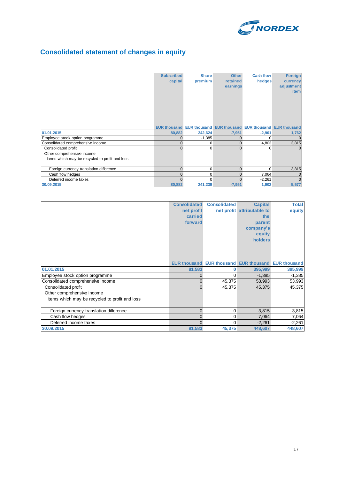

## **Consolidated statement of changes in equity**

|                                                | <b>Subscribed</b> | <b>Share</b> | <b>Other</b>                                                            | <b>Cash flow</b> | <b>Foreign</b> |
|------------------------------------------------|-------------------|--------------|-------------------------------------------------------------------------|------------------|----------------|
|                                                | capital           | premium      | retained                                                                | hedges           | currency       |
|                                                |                   |              | earnings                                                                |                  | adjustment     |
|                                                |                   |              |                                                                         |                  | <i>item</i>    |
|                                                |                   |              |                                                                         |                  |                |
|                                                |                   |              |                                                                         |                  |                |
|                                                |                   |              |                                                                         |                  |                |
|                                                |                   |              |                                                                         |                  |                |
|                                                |                   |              |                                                                         |                  |                |
|                                                |                   |              |                                                                         |                  |                |
|                                                |                   |              | <b>EUR thousand EUR thousand EUR thousand EUR thousand EUR thousand</b> |                  |                |
| 01.01.2015                                     | 80,882            | 242,624      | $-7,951$                                                                | $-2,901$         | 1,762          |
| Employee stock option programme                | $\mathbf{0}$      | $-1,385$     | $\Omega$                                                                | $\Omega$         | $\Omega$       |
| Consolidated comprehensive income              | 0                 | 0            | $\mathbf{0}$                                                            | 4,803            | 3,815          |
| Consolidated profit                            | $\Omega$          | $\Omega$     | $\Omega$                                                                | $\Omega$         | $\Omega$       |
| Other comprehensive income                     |                   |              |                                                                         |                  |                |
| Items which may be recycled to profit and loss |                   |              |                                                                         |                  |                |
|                                                |                   |              |                                                                         |                  |                |
| Foreign currency translation difference        | $\mathbf{0}$      | 0            | $\Omega$                                                                | $\Omega$         | 3,815          |
| Cash flow hedges                               | $\overline{0}$    | 0            | $\Omega$                                                                | 7,064            | $\mathbf{0}$   |
| Deferred income taxes                          | $\Omega$          | $\Omega$     | $\Omega$                                                                | $-2,261$         | $\Omega$       |
| 30.09.2015                                     | 80,882            | 241,239      | $-7,951$                                                                | 1,902            | 5,577          |

|                                                | <b>Consolidated</b> | <b>Consolidated</b> | <b>Capital</b>                                             | <b>Total</b> |
|------------------------------------------------|---------------------|---------------------|------------------------------------------------------------|--------------|
|                                                | net profit          |                     | net profit attributable to                                 | equity       |
|                                                | carried             |                     | the                                                        |              |
|                                                | forward             |                     | parent                                                     |              |
|                                                |                     |                     | company's                                                  |              |
|                                                |                     |                     | equity                                                     |              |
|                                                |                     |                     | holders                                                    |              |
|                                                |                     |                     |                                                            |              |
|                                                |                     |                     |                                                            |              |
|                                                |                     |                     |                                                            |              |
|                                                |                     |                     | <b>EUR thousand EUR thousand EUR thousand EUR thousand</b> |              |
| 01.01.2015                                     | 81,583              | 0                   | 395,999                                                    | 395,999      |
| Employee stock option programme                | 0                   | 0                   | $-1,385$                                                   | $-1,385$     |
| Consolidated comprehensive income              | 0                   | 45,375              | 53,993                                                     | 53,993       |
| Consolidated profit                            | $\overline{0}$      | 45,375              | 45,375                                                     | 45,375       |
| Other comprehensive income                     |                     |                     |                                                            |              |
| Items which may be recycled to profit and loss |                     |                     |                                                            |              |
|                                                |                     |                     |                                                            |              |
| Foreign currency translation difference        | 0                   | 0                   | 3,815                                                      | 3,815        |
| Cash flow hedges                               | 0                   | 0                   | 7,064                                                      | 7,064        |
| Deferred income taxes                          | $\Omega$            | 0                   | $-2,261$                                                   | $-2,261$     |
| 30.09.2015                                     | 81,583              | 45,375              | 448,607                                                    | 448,607      |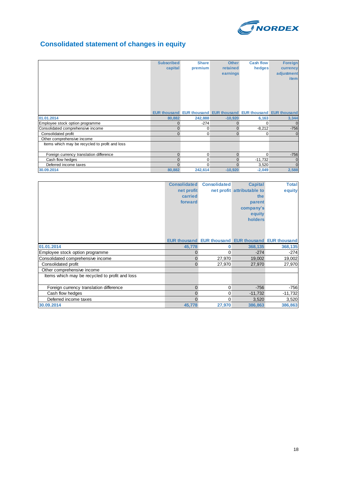

## **Consolidated statement of changes in equity**

|                                                | <b>Subscribed</b><br>capital | <b>Share</b><br>premium | <b>Other</b><br>retained<br>earnings                             | <b>Cash flow</b><br>hedges | <b>Foreign</b><br>currency<br>adjustment<br><b>item</b> |
|------------------------------------------------|------------------------------|-------------------------|------------------------------------------------------------------|----------------------------|---------------------------------------------------------|
|                                                |                              |                         | EUR thousand EUR thousand EUR thousand EUR thousand EUR thousand |                            |                                                         |
| 01.01.2014                                     | 80,882                       | 242,888                 | $-10,920$                                                        | 6,163                      | 3,344                                                   |
| Employee stock option programme                | $\mathbf{0}$                 | $-274$                  | $\Omega$                                                         | $\Omega$                   | $\mathbf{0}$                                            |
| Consolidated comprehensive income              | $\mathbf{0}$                 | 0                       | $\mathbf{0}$                                                     | $-8,212$                   | $-756$                                                  |
| Consolidated profit                            | $\mathbf{0}$                 | 0                       | $\Omega$                                                         | $\overline{0}$             | $\Omega$                                                |
| Other comprehensive income                     |                              |                         |                                                                  |                            |                                                         |
| Items which may be recycled to profit and loss |                              |                         |                                                                  |                            |                                                         |
| Foreign currency translation difference        | $\mathbf{0}$                 | $\Omega$                | $\Omega$                                                         | $\Omega$                   | $-756$                                                  |
| Cash flow hedges                               | $\mathbf{0}$                 | 0                       | $\Omega$                                                         | $-11,732$                  | $\mathbf{0}$                                            |
| Deferred income taxes                          | $\Omega$                     | 0                       | $\Omega$                                                         | 3,520                      | $\mathbf{0}$                                            |
| 30.09.2014                                     | 80,882                       | 242,614                 | $-10,920$                                                        | $-2,049$                   | 2,588                                                   |

|                                                | <b>Consolidated</b> | <b>Consolidated</b> | <b>Capital</b>                                             | <b>Total</b> |
|------------------------------------------------|---------------------|---------------------|------------------------------------------------------------|--------------|
|                                                | net profit          |                     | net profit attributable to                                 | equity       |
|                                                | carried             |                     | the                                                        |              |
|                                                | forward             |                     | parent                                                     |              |
|                                                |                     |                     | company's                                                  |              |
|                                                |                     |                     | equity                                                     |              |
|                                                |                     |                     | holders                                                    |              |
|                                                |                     |                     |                                                            |              |
|                                                |                     |                     |                                                            |              |
|                                                |                     |                     |                                                            |              |
|                                                |                     |                     | <b>EUR thousand EUR thousand EUR thousand EUR thousand</b> |              |
| 01.01.2014                                     | 45,778              | 0                   | 368,135                                                    | 368,135      |
| Employee stock option programme                | 0                   | 0                   | $-274$                                                     | $-274$       |
| Consolidated comprehensive income              | 0                   | 27,970              | 19,002                                                     | 19,002       |
| Consolidated profit                            | 0                   | 27,970              | 27,970                                                     | 27,970       |
| Other comprehensive income                     |                     |                     |                                                            |              |
| Items which may be recycled to profit and loss |                     |                     |                                                            |              |
|                                                |                     |                     |                                                            |              |
| Foreign currency translation difference        | $\Omega$            | 0                   | $-756$                                                     | $-756$       |
| Cash flow hedges                               | $\Omega$            | 0                   | $-11,732$                                                  | $-11,732$    |
| Deferred income taxes                          | U                   | 0                   | 3,520                                                      | 3,520        |
| 30.09.2014                                     | 45,778              | 27,970              | 386,863                                                    | 386,863      |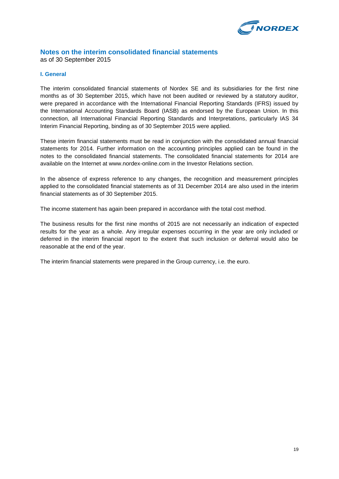

## **Notes on the interim consolidated financial statements**

as of 30 September 2015

## **I. General**

The interim consolidated financial statements of Nordex SE and its subsidiaries for the first nine months as of 30 September 2015, which have not been audited or reviewed by a statutory auditor, were prepared in accordance with the International Financial Reporting Standards (IFRS) issued by the International Accounting Standards Board (IASB) as endorsed by the European Union. In this connection, all International Financial Reporting Standards and Interpretations, particularly IAS 34 Interim Financial Reporting, binding as of 30 September 2015 were applied.

These interim financial statements must be read in conjunction with the consolidated annual financial statements for 2014. Further information on the accounting principles applied can be found in the notes to the consolidated financial statements. The consolidated financial statements for 2014 are available on the Internet at www.nordex-online.com in the Investor Relations section.

In the absence of express reference to any changes, the recognition and measurement principles applied to the consolidated financial statements as of 31 December 2014 are also used in the interim financial statements as of 30 September 2015.

The income statement has again been prepared in accordance with the total cost method.

The business results for the first nine months of 2015 are not necessarily an indication of expected results for the year as a whole. Any irregular expenses occurring in the year are only included or deferred in the interim financial report to the extent that such inclusion or deferral would also be reasonable at the end of the year.

The interim financial statements were prepared in the Group currency, i.e. the euro.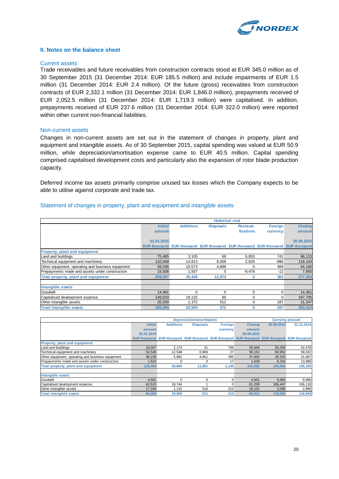

#### **II. Notes on the balance sheet**

#### Current assets

Trade receivables and future receivables from construction contracts stood at EUR 345.0 million as of 30 September 2015 (31 December 2014: EUR 185.5 million) and include impairments of EUR 1.5 million (31 December 2014: EUR 2.4 million). Of the future (gross) receivables from construction contracts of EUR 2,332.1 million (31 December 2014: EUR 1,846.0 million), prepayments received of EUR 2,052.5 million (31 December 2014: EUR 1,719.3 million) were capitalised. In addition, prepayments received of EUR 237.6 million (31 December 2014: EUR 322.0 million) were reported within other current non-financial liabilities.

#### Non-current assets

Changes in non-current assets are set out in the statement of changes in property, plant and equipment and intangible assets. As of 30 September 2015, capital spending was valued at EUR 50.9 million, while depreciation/amortisation expense came to EUR 40.5 million. Capital spending comprised capitalised development costs and particularly also the expansion of rotor blade production capacity.

Deferred income tax assets primarily comprise unused tax losses which the Company expects to be able to utilise against corporate and trade tax.

|                                                   | <b>Historical cost</b> |                                                                               |                  |           |                |                |
|---------------------------------------------------|------------------------|-------------------------------------------------------------------------------|------------------|-----------|----------------|----------------|
|                                                   | <b>Initial</b>         | <b>Additions</b>                                                              | <b>Disposals</b> | Reclassi- | <b>Foreign</b> | <b>Closing</b> |
|                                                   | amount                 |                                                                               |                  | fications | currency       | amount         |
|                                                   |                        |                                                                               |                  |           |                |                |
|                                                   | 01.01.2015             |                                                                               |                  |           |                | 30.09.2015     |
|                                                   |                        | EUR thousand EUR thousand EUR thousand EUR thousand EUR thousand EUR thousand |                  |           |                |                |
| <b>Property, plant and equipment</b>              |                        |                                                                               |                  |           |                |                |
| Land and buildings                                | 75.485                 | 3,105                                                                         | 69               | 6.853     | 741            | 86,115         |
| Technical equipment and machinery                 | 110.568                | 14,813                                                                        | 8.006            | 2,625     | $-896$         | 119,104        |
| Other equipment, operating and business equipment | 58,036                 | 10,573                                                                        | 4,898            | 0         | 469            | 64,180         |
| Prepayments made and assets under construction    | 15,508                 | 1,937                                                                         | 0                | $-9,478$  | $-12$          | 7,955          |
| Total property, plant and equipment               | 259,597                | 30,428                                                                        | 12,973           | 0         | 302            | 277,354        |
|                                                   |                        |                                                                               |                  |           |                |                |
| <b>Intangible assets</b>                          |                        |                                                                               |                  |           |                |                |
| Goodwill                                          | 14.461                 | $\Omega$                                                                      | $\Omega$         | 0         | 0              | 14,461         |
| Capitalised development expense                   | 148.633                | 19.132                                                                        | 60               | 0         | $\Omega$       | 167,705        |
| Other intangible assets                           | 20,200                 | 1.372                                                                         | 512              | 0         | 187            | 21,247         |
| <b>Total intangible assets</b>                    | 183,294                | 20,504                                                                        | 572              | 0         | 187            | 203,413        |

#### Statement of changes in property, plant and equipment and intangible assets

|                                                   |                | <b>Depreciation/amortisation</b>                                                           |                  |                |                |            | <b>Carrying amount</b> |
|---------------------------------------------------|----------------|--------------------------------------------------------------------------------------------|------------------|----------------|----------------|------------|------------------------|
|                                                   | <b>Initial</b> | <b>Additions</b>                                                                           | <b>Disposals</b> | <b>Foreign</b> | <b>Closing</b> | 30.09.2015 | 31.12.2014             |
|                                                   | amount         |                                                                                            |                  | currency       | amount         |            |                        |
|                                                   | 01.01.2015     |                                                                                            |                  |                | 30.09.2015     |            |                        |
|                                                   |                | EUR thousand EUR thousand EUR thousand EUR thousand EUR thousand EUR thousand EUR thousand |                  |                |                |            |                        |
| <b>Property, plant and equipment</b>              |                |                                                                                            |                  |                |                |            |                        |
| Land and buildings                                | 33,007         | 2.174                                                                                      | -41              | 706            | 35,846         | 50,269     | 42,478                 |
| Technical equipment and machinery                 | 52,546         | 12.548                                                                                     | 6,969            | 27             | 58,152         | 60,952     | 58,022                 |
| Other equipment, operating and business equipment | 36.229         | 5,882                                                                                      | 4,851            | 395            | 37,655         | 26,525     | 21,807                 |
| Prepayments made and assets under construction    | 1.622          |                                                                                            |                  | 17             | 1.639          | 6,316      | 13,886                 |
| Total property, plant and equipment               | 123,404        | 20,604                                                                                     | 11,861           | 1,145          | 133,292        | 144,062    | 136,193                |
| Intangible assets                                 |                |                                                                                            |                  |                |                |            |                        |
| Goodwill                                          | 4,501          |                                                                                            | 0                |                | 4,501          | 9,960      | 9,960                  |
| Capitalised development expense                   | 42.515         | 18.744                                                                                     |                  | n              | 61,258         | 106.447    | 106,118                |
| Other intangible assets                           | 17,334         | 1,115                                                                                      | 510              | 213            | 18,152         | 3,095      | 2,866                  |
| <b>Total intangible assets</b>                    | 64,350         | 19,859                                                                                     | 511              | 213            | 83,911         | 119,502    | 118,944                |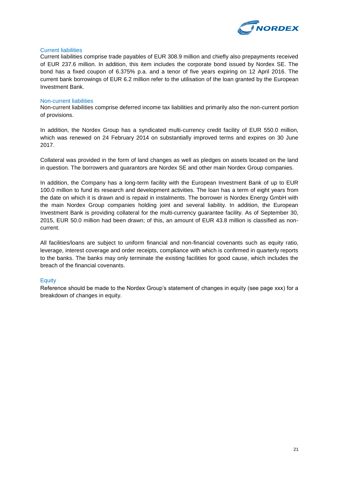

## Current liabilities

Current liabilities comprise trade payables of EUR 308.9 million and chiefly also prepayments received of EUR 237.6 million. In addition, this item includes the corporate bond issued by Nordex SE. The bond has a fixed coupon of 6.375% p.a. and a tenor of five years expiring on 12 April 2016. The current bank borrowings of EUR 6.2 million refer to the utilisation of the loan granted by the European Investment Bank.

## Non-current liabilities

Non-current liabilities comprise deferred income tax liabilities and primarily also the non-current portion of provisions.

In addition, the Nordex Group has a syndicated multi-currency credit facility of EUR 550.0 million, which was renewed on 24 February 2014 on substantially improved terms and expires on 30 June 2017.

Collateral was provided in the form of land changes as well as pledges on assets located on the land in question. The borrowers and guarantors are Nordex SE and other main Nordex Group companies.

In addition, the Company has a long-term facility with the European Investment Bank of up to EUR 100.0 million to fund its research and development activities. The loan has a term of eight years from the date on which it is drawn and is repaid in instalments. The borrower is Nordex Energy GmbH with the main Nordex Group companies holding joint and several liability. In addition, the European Investment Bank is providing collateral for the multi-currency guarantee facility. As of September 30, 2015, EUR 50.0 million had been drawn; of this, an amount of EUR 43.8 million is classified as noncurrent.

All facilities/loans are subject to uniform financial and non-financial covenants such as equity ratio, leverage, interest coverage and order receipts, compliance with which is confirmed in quarterly reports to the banks. The banks may only terminate the existing facilities for good cause, which includes the breach of the financial covenants.

## **Equity**

Reference should be made to the Nordex Group's statement of changes in equity (see page xxx) for a breakdown of changes in equity.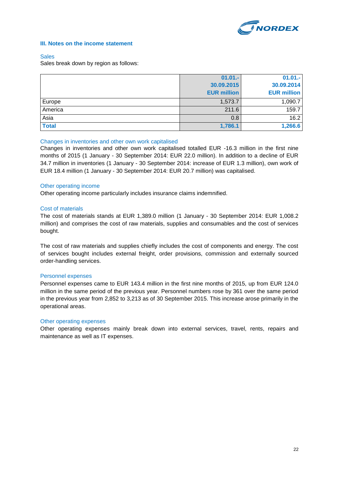

## **III. Notes on the income statement**

#### **Sales**

Sales break down by region as follows:

|              | $01.01 -$          | $01.01 -$          |
|--------------|--------------------|--------------------|
|              | 30.09.2015         | 30.09.2014         |
|              | <b>EUR million</b> | <b>EUR million</b> |
| Europe       | 1,573.7            | 1,090.7            |
| America      | 211.6              | 159.7              |
| Asia         | 0.8                | 16.2               |
| <b>Total</b> | 1,786.1            | 1,266.6            |

## Changes in inventories and other own work capitalised

Changes in inventories and other own work capitalised totalled EUR -16.3 million in the first nine months of 2015 (1 January - 30 September 2014: EUR 22.0 million). In addition to a decline of EUR 34.7 million in inventories (1 January - 30 September 2014: increase of EUR 1.3 million), own work of EUR 18.4 million (1 January - 30 September 2014: EUR 20.7 million) was capitalised.

## Other operating income

Other operating income particularly includes insurance claims indemnified.

## Cost of materials

The cost of materials stands at EUR 1,389.0 million (1 January - 30 September 2014: EUR 1,008.2 million) and comprises the cost of raw materials, supplies and consumables and the cost of services bought.

The cost of raw materials and supplies chiefly includes the cost of components and energy. The cost of services bought includes external freight, order provisions, commission and externally sourced order-handling services.

#### Personnel expenses

Personnel expenses came to EUR 143.4 million in the first nine months of 2015, up from EUR 124.0 million in the same period of the previous year. Personnel numbers rose by 361 over the same period in the previous year from 2,852 to 3,213 as of 30 September 2015. This increase arose primarily in the operational areas.

## Other operating expenses

Other operating expenses mainly break down into external services, travel, rents, repairs and maintenance as well as IT expenses.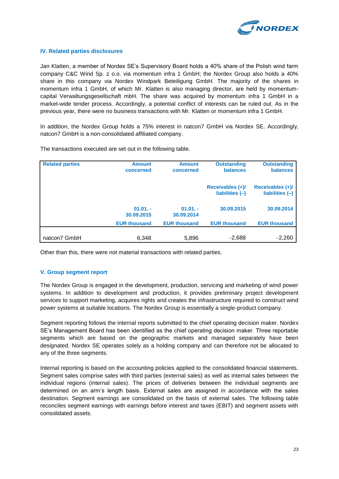

## **IV. Related parties disclosures**

Jan Klatten, a member of Nordex SE's Supervisory Board holds a 40% share of the Polish wind farm company C&C Wind Sp. z o.o. via momentum infra 1 GmbH; the Nordex Group also holds a 40% share in this company via Nordex Windpark Beteiligung GmbH. The majority of the shares in momentum infra 1 GmbH, of which Mr. Klatten is also managing director, are held by momentumcapital Verwaltungsgesellschaft mbH. The share was acquired by momentum infra 1 GmbH in a market-wide tender process. Accordingly, a potential conflict of interests can be ruled out. As in the previous year, there were no business transactions with Mr. Klatten or momentum infra 1 GmbH.

In addition, the Nordex Group holds a 75% interest in natcon7 GmbH via Nordex SE. Accordingly, natcon7 GmbH is a non-consolidated affiliated company.

| <b>Related parties</b> | <b>Amount</b><br>concerned | <b>Amount</b><br>concerned | <b>Outstanding</b><br>balances        | <b>Outstanding</b><br>balances      |
|------------------------|----------------------------|----------------------------|---------------------------------------|-------------------------------------|
|                        |                            |                            | Receivables (+)/<br>liabilities $(-)$ | Receivables (+)/<br>liabilities (-) |
|                        | $01.01. -$<br>30.09.2015   | $01.01. -$<br>30.09.2014   | 30.09.2015                            | 30.09.2014                          |
|                        | <b>EUR thousand</b>        | <b>EUR thousand</b>        | <b>EUR thousand</b>                   | <b>EUR thousand</b>                 |
| natcon7 GmbH           | 6,348                      | 5,896                      | $-2,688$                              | $-2,260$                            |

The transactions executed are set out in the following table.

Other than this, there were not material transactions with related parties.

## **V. Group segment report**

The Nordex Group is engaged in the development, production, servicing and marketing of wind power systems. In addition to development and production, it provides preliminary project development services to support marketing, acquires rights and creates the infrastructure required to construct wind power systems at suitable locations. The Nordex Group is essentially a single-product company.

Segment reporting follows the internal reports submitted to the chief operating decision maker. Nordex SE's Management Board has been identified as the chief operating decision maker. Three reportable segments which are based on the geographic markets and managed separately have been designated. Nordex SE operates solely as a holding company and can therefore not be allocated to any of the three segments.

Internal reporting is based on the accounting policies applied to the consolidated financial statements. Segment sales comprise sales with third parties (external sales) as well as internal sales between the individual regions (internal sales). The prices of deliveries between the individual segments are determined on an arm's length basis. External sales are assigned in accordance with the sales destination. Segment earnings are consolidated on the basis of external sales. The following table reconciles segment earnings with earnings before interest and taxes (EBIT) and segment assets with consolidated assets.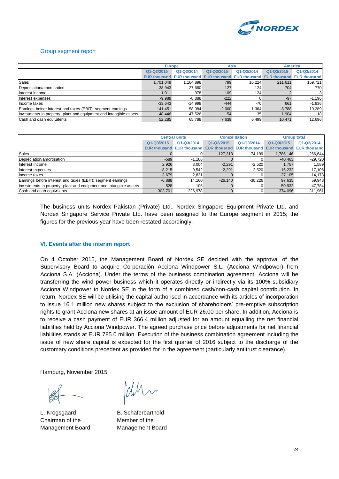

## Group segment report

|                                                                    | <b>Europe</b>       |                     | Asia       |                                  | <b>America</b>      |                     |
|--------------------------------------------------------------------|---------------------|---------------------|------------|----------------------------------|---------------------|---------------------|
|                                                                    | Q1-Q3/2015          | Q1-Q3/2014          | Q1-Q3/2015 | Q1-Q3/2014                       | Q1-Q3/2015          | Q1-Q3/2014          |
|                                                                    | <b>EUR thousand</b> | <b>EUR thousand</b> |            | <b>EUR thousand EUR thousand</b> | <b>EUR thousand</b> | <b>EUR thousand</b> |
| <b>Sales</b>                                                       | 1.701.049           | 1,164,898           | 799        | 16.224                           | 211,611             | 159,721             |
| Depreciation/amortisation                                          | $-38,943$           | $-27,660$           | $-127$     | $-124$                           | $-704$              | $-770$              |
| Interest income                                                    | 1.011               | 978                 | 109        | 124                              |                     | 3                   |
| Interest expenses                                                  | $-9.989$            | $-8.888$            | $-222$     |                                  | $-97$               | $-1,196$            |
| Income taxes                                                       | $-33,643$           | $-14,998$           | $-444$     | $-70$                            | 661                 | $-1,936$            |
| Earnings before interest and taxes (EBIT); segment earnings        | 141.451             | 58.084              | $-2,000$   | $-1.364$                         | $-8.788$            | 19,289              |
| Investments in property, plant and equipment and intangible assets | 48.446              | 47,526              | 54         | 35                               | 1,904               | 118                 |
| Cash and cash equivalents                                          | 52,285              | 65,788              | 7,639      | 6.499                            | 10.471              | 12,696              |

|                                                                    |            | <b>Central units</b> |                                                            | <b>Consolidation</b> |                                  | <b>Group total</b> |
|--------------------------------------------------------------------|------------|----------------------|------------------------------------------------------------|----------------------|----------------------------------|--------------------|
|                                                                    | Q1-Q3/2015 | Q1-Q3/2014           | Q1-Q3/2015                                                 | Q1-Q3/2014           | Q1-Q3/2015                       | Q1-Q3/2014         |
|                                                                    |            |                      | <b>EUR thousand EUR thousand EUR thousand EUR thousand</b> |                      | <b>EUR thousand EUR thousand</b> |                    |
| <b>Sales</b>                                                       |            |                      | $-127.313$                                                 | $-74.199$            | 1.786.146                        | 1,266,644          |
| Depreciation/amortisation                                          | $-689$     | $-1.166$             |                                                            |                      | $-40,463$                        | $-29,720$          |
| Interest income                                                    | 2,926      | 3.004                | $-2,291$                                                   | $-2.520$             | 1.757                            | .589               |
| Interest expenses                                                  | $-8.215$   | $-9.542$             | 2,291                                                      | 2,520                | $-16,232$                        | $-17,106$          |
| Income taxes                                                       | $-3.679$   | 2.831                |                                                            |                      | $-37,105$                        | $-14,173$          |
| Earnings before interest and taxes (EBIT); segment earnings        | $-6.888$   | 14.160               | $-26.140$                                                  | $-30.226$            | 97.635                           | 59,943             |
| Investments in property, plant and equipment and intangible assets | 528        | 105                  |                                                            |                      | 50,932                           | 47,784             |
| Cash and cash equivalents                                          | 303.701    | 226,978              |                                                            |                      | 374.096                          | 311,961            |

The business units Nordex Pakistan (Private) Ltd., Nordex Singapore Equipment Private Ltd. and Nordex Singapore Service Private Ltd. have been assigned to the Europe segment in 2015; the figures for the previous year have been restated accordingly.

## **VI. Events after the interim report**

On 4 October 2015, the Management Board of Nordex SE decided with the approval of the Supervisory Board to acquire Corporación Acciona Windpower S.L. (Acciona Windpower) from Acciona S.A. (Acciona). Under the terms of the business combination agreement, Acciona will be transferring the wind power business which it operates directly or indirectly via its 100% subsidiary Acciona Windpower to Nordex SE in the form of a combined cash/non-cash capital contribution. In return, Nordex SE will be utilising the capital authorised in accordance with its articles of incorporation to issue 16.1 million new shares subject to the exclusion of shareholders' pre-emptive subscription rights to grant Acciona new shares at an issue amount of EUR 26.00 per share. In addition, Acciona is to receive a cash payment of EUR 366.4 million adjusted for an amount equalling the net financial liabilities held by Acciona Windpower. The agreed purchase price before adjustments for net financial liabilities stands at EUR 785.0 million. Execution of the business combination agreement including the issue of new share capital is expected for the first quarter of 2016 subject to the discharge of the customary conditions precedent as provided for in the agreement (particularly antitrust clearance).

Hamburg, November 2015

L. Krogsgaard B. Schäferbarthold Chairman of the Member of the Management Board Management Board

dur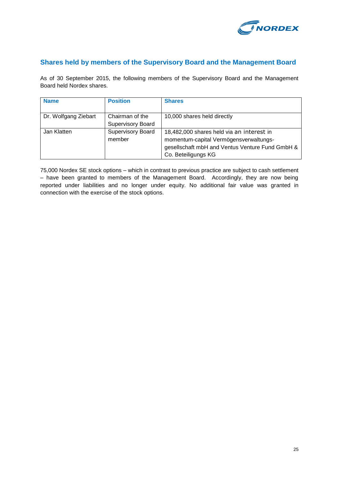

## **Shares held by members of the Supervisory Board and the Management Board**

As of 30 September 2015, the following members of the Supervisory Board and the Management Board held Nordex shares.

| <b>Name</b>          | <b>Position</b>                             | <b>Shares</b>                                                                                                                                                 |
|----------------------|---------------------------------------------|---------------------------------------------------------------------------------------------------------------------------------------------------------------|
| Dr. Wolfgang Ziebart | Chairman of the<br><b>Supervisory Board</b> | 10,000 shares held directly                                                                                                                                   |
| Jan Klatten          | <b>Supervisory Board</b><br>member          | 18,482,000 shares held via an interest in<br>momentum-capital Vermögensverwaltungs-<br>gesellschaft mbH and Ventus Venture Fund GmbH &<br>Co. Beteiligungs KG |

75,000 Nordex SE stock options – which in contrast to previous practice are subject to cash settlement – have been granted to members of the Management Board. Accordingly, they are now being reported under liabilities and no longer under equity. No additional fair value was granted in connection with the exercise of the stock options.